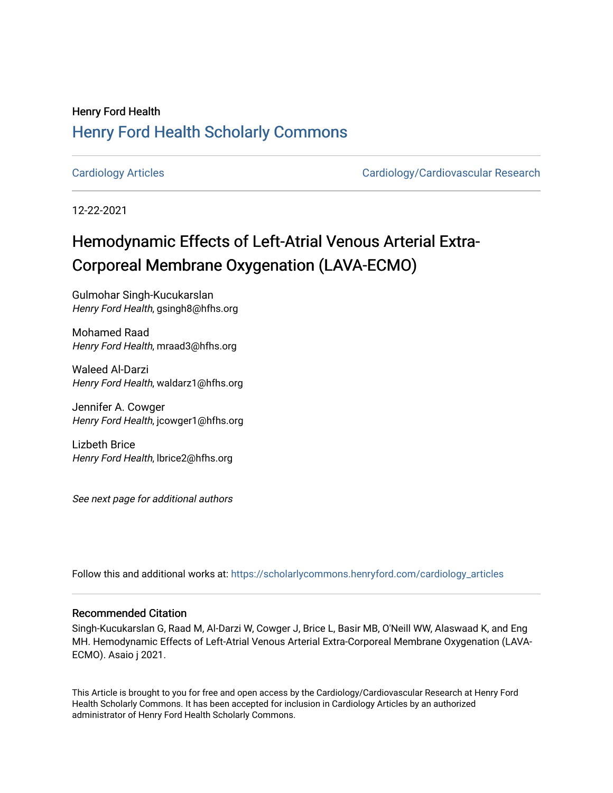## Henry Ford Health [Henry Ford Health Scholarly Commons](https://scholarlycommons.henryford.com/)

[Cardiology Articles](https://scholarlycommons.henryford.com/cardiology_articles) [Cardiology/Cardiovascular Research](https://scholarlycommons.henryford.com/cardiology) 

12-22-2021

# Hemodynamic Effects of Left-Atrial Venous Arterial Extra-Corporeal Membrane Oxygenation (LAVA-ECMO)

Gulmohar Singh-Kucukarslan Henry Ford Health, gsingh8@hfhs.org

Mohamed Raad Henry Ford Health, mraad3@hfhs.org

Waleed Al-Darzi Henry Ford Health, waldarz1@hfhs.org

Jennifer A. Cowger Henry Ford Health, jcowger1@hfhs.org

Lizbeth Brice Henry Ford Health, lbrice2@hfhs.org

See next page for additional authors

Follow this and additional works at: [https://scholarlycommons.henryford.com/cardiology\\_articles](https://scholarlycommons.henryford.com/cardiology_articles?utm_source=scholarlycommons.henryford.com%2Fcardiology_articles%2F857&utm_medium=PDF&utm_campaign=PDFCoverPages)

### Recommended Citation

Singh-Kucukarslan G, Raad M, Al-Darzi W, Cowger J, Brice L, Basir MB, O'Neill WW, Alaswaad K, and Eng MH. Hemodynamic Effects of Left-Atrial Venous Arterial Extra-Corporeal Membrane Oxygenation (LAVA-ECMO). Asaio j 2021.

This Article is brought to you for free and open access by the Cardiology/Cardiovascular Research at Henry Ford Health Scholarly Commons. It has been accepted for inclusion in Cardiology Articles by an authorized administrator of Henry Ford Health Scholarly Commons.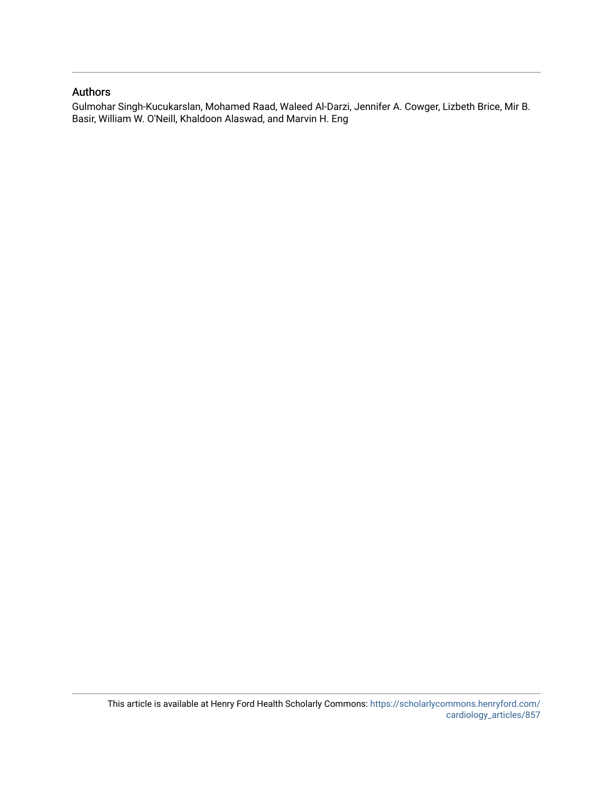### Authors

Gulmohar Singh-Kucukarslan, Mohamed Raad, Waleed Al-Darzi, Jennifer A. Cowger, Lizbeth Brice, Mir B. Basir, William W. O'Neill, Khaldoon Alaswad, and Marvin H. Eng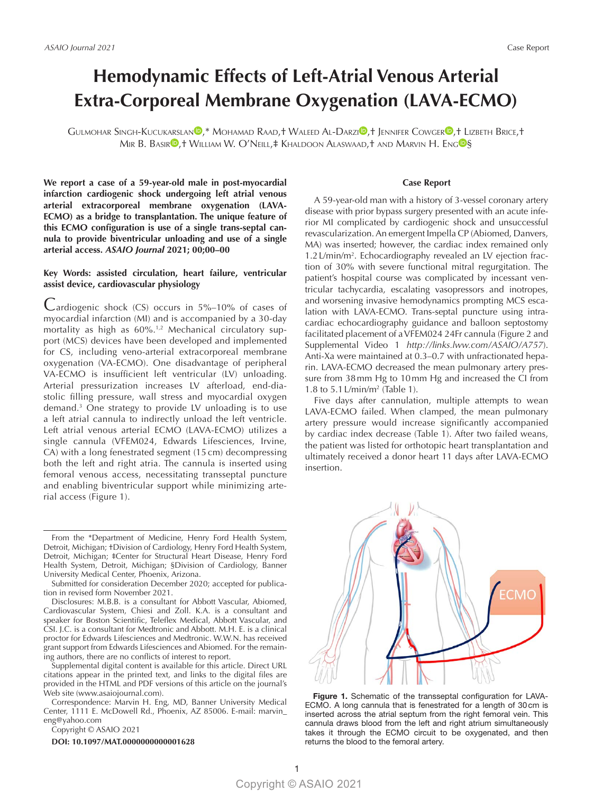## **Hemodynamic Effects of Left-Atrial Venous Arterial Extra-Corporeal Membrane Oxygenation (LAVA-ECMO)**

Gulmohar Singh-Kucukarslan<sup>®</sup>[,](https://orcid.org/0000-0002-2324-8186)\* Mohamad Raad,† Waleed Al-Darzi®,† Jennifer Cowger<sup>®</sup>,† Lizbeth Brice,† MIR B. BASIR<sup>O</sup>,† WILLIAM W. O'NEILL,‡ KHALDOON ALASWAAD,† AND MARVIN H. ENG<sup>OS</sup>

**We report a case of a 59-year-old male in post-myocardial infarction cardiogenic shock undergoing left atrial venous arterial extracorporeal membrane oxygenation (LAVA-ECMO) as a bridge to transplantation. The unique feature of this ECMO configuration is use of a single trans-septal cannula to provide biventricular unloading and use of a single arterial access.** *ASAIO Journal* **2021; 00;00–00**

#### **Key Words: assisted circulation, heart failure, ventricular assist device, cardiovascular physiology**

Cardiogenic shock (CS) occurs in 5%–10% of cases of myocardial infarction (MI) and is accompanied by a 30-day mortality as high as 60%.<sup>1,2</sup> Mechanical circulatory support (MCS) devices have been developed and implemented for CS, including veno-arterial extracorporeal membrane oxygenation (VA-ECMO). One disadvantage of peripheral VA-ECMO is insufficient left ventricular (LV) unloading. Arterial pressurization increases LV afterload, end-diastolic filling pressure, wall stress and myocardial oxygen demand.3 One strategy to provide LV unloading is to use a left atrial cannula to indirectly unload the left ventricle. Left atrial venous arterial ECMO (LAVA-ECMO) utilizes a single cannula (VFEM024, Edwards Lifesciences, Irvine, CA) with a long fenestrated segment (15 cm) decompressing both the left and right atria. The cannula is inserted using femoral venous access, necessitating transseptal puncture and enabling biventricular support while minimizing arterial access (Figure 1).

Disclosures: M.B.B. is a consultant for Abbott Vascular, Abiomed, Cardiovascular System, Chiesi and Zoll. K.A. is a consultant and speaker for Boston Scientific, Teleflex Medical, Abbott Vascular, and CSI. J.C. is a consultant for Medtronic and Abbott. M.H. E. is a clinical proctor for Edwards Lifesciences and Medtronic. W.W.N. has received grant support from Edwards Lifesciences and Abiomed. For the remaining authors, there are no conflicts of interest to report.

Supplemental digital content is available for this article. Direct URL citations appear in the printed text, and links to the digital files are provided in the HTML and PDF versions of this article on the journal's Web site [\(www.asaiojournal.com](https://www.asaiojournal.com)).

Correspondence: Marvin H. Eng, MD, Banner University Medical Center, 1111 E. McDowell Rd., Phoenix, AZ 85006. E-mail: [marvin\\_](mailto:marvin_eng@yahoo.com) [eng@yahoo.com](mailto:marvin_eng@yahoo.com)

Copyright © ASAIO 2021

**DOI: 10.1097/MAT.0000000000001628**

#### **Case Report**

A 59-year-old man with a history of 3-vessel coronary artery disease with prior bypass surgery presented with an acute inferior MI complicated by cardiogenic shock and unsuccessful revascularization. An emergent Impella CP (Abiomed, Danvers, MA) was inserted; however, the cardiac index remained only 1.2 L/min/m<sup>2</sup>. Echocardiography revealed an LV ejection fraction of 30% with severe functional mitral regurgitation. The patient's hospital course was complicated by incessant ventricular tachycardia, escalating vasopressors and inotropes, and worsening invasive hemodynamics prompting MCS escalation with LAVA-ECMO. Trans-septal puncture using intracardiac echocardiography guidance and balloon septostomy facilitated placement of a VFEM024 24Fr cannula (Figure 2 and Supplemental Video 1 *<http://links.lww.com/ASAIO/A757>*). Anti-Xa were maintained at 0.3–0.7 with unfractionated heparin. LAVA-ECMO decreased the mean pulmonary artery pressure from 38mm Hg to 10mm Hg and increased the CI from 1.8 to 5.1L/min/m2 (Table 1).

Five days after cannulation, multiple attempts to wean LAVA-ECMO failed. When clamped, the mean pulmonary artery pressure would increase significantly accompanied by cardiac index decrease (Table 1). After two failed weans, the patient was listed for orthotopic heart transplantation and ultimately received a donor heart 11 days after LAVA-ECMO insertion.



Figure 1. Schematic of the transseptal configuration for LAVA-ECMO. A long cannula that is fenestrated for a length of 30cm is inserted across the atrial septum from the right femoral vein. This cannula draws blood from the left and right atrium simultaneously takes it through the ECMO circuit to be oxygenated, and then returns the blood to the femoral artery.

From the \*Department of Medicine, Henry Ford Health System, Detroit, Michigan; †Division of Cardiology, Henry Ford Health System, Detroit, Michigan; ‡Center for Structural Heart Disease, Henry Ford Health System, Detroit, Michigan; §Division of Cardiology, Banner University Medical Center, Phoenix, Arizona.

Submitted for consideration December 2020; accepted for publication in revised form November 2021.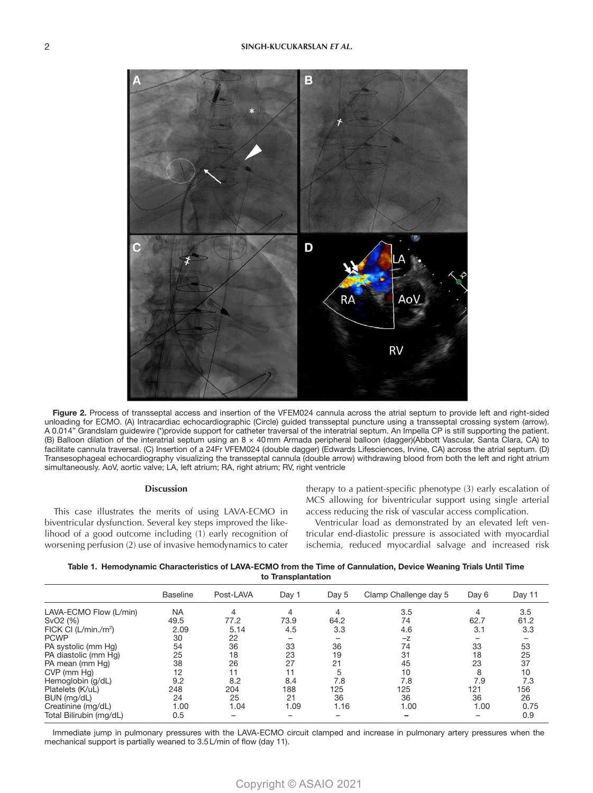

Figure 2. Process of transseptal access and insertion of the VFEM024 cannula across the atrial septum to provide left and right-sided unloading for ECMO. (A) Intracardiac echocardiographic (Circle) guided transseptal puncture using a transseptal crossing system (arrow). A 0.014" Grandslam guidewire (\*)provide support for catheter traversal of the interatrial septum. An Impella CP is still supporting the patient. (B) Balloon dilation of the interatrial septum using an 8 × 40mm Armada peripheral balloon (dagger)(Abbott Vascular, Santa Clara, CA) to facilitate cannula traversal. (C) Insertion of a 24Fr VFEM024 (double dagger) (Edwards Lifesciences, Irvine, CA) across the atrial septum. (D) Transesophageal echocardiography visualizing the transseptal cannula (double arrow) withdrawing blood from both the left and right atrium simultaneously. AoV, aortic valve; LA, left atrium; RA, right atrium; RV, right ventricle

#### **Discussion**

This case illustrates the merits of using LAVA-ECMO in biventricular dysfunction. Several key steps improved the likelihood of a good outcome including (1) early recognition of worsening perfusion (2) use of invasive hemodynamics to cater therapy to a patient-specific phenotype (3) early escalation of MCS allowing for biventricular support using single arterial access reducing the risk of vascular access complication.

Ventricular load as demonstrated by an elevated left ventricular end-diastolic pressure is associated with myocardial ischemia, reduced myocardial salvage and increased risk

Table 1. Hemodynamic Characteristics of LAVA-ECMO from the Time of Cannulation, Device Weaning Trials Until Time to Transplantation

|                         | <b>Baseline</b> | Post-LAVA | Day 1 | Day 5 | Clamp Challenge day 5 | Day 6                    | Day 11 |
|-------------------------|-----------------|-----------|-------|-------|-----------------------|--------------------------|--------|
| LAVA-ECMO Flow (L/min)  | <b>NA</b>       | 4         | 4     |       | 3.5                   | 4                        | 3.5    |
| SvO <sub>2</sub> (%)    | 49.5            | 77.2      | 73.9  | 64.2  | 74                    | 62.7                     | 61.2   |
| FICK CI $(L/min./m^2)$  | 2.09            | 5.14      | 4.5   | 3.3   | 4.6                   | 3.1                      | 3.3    |
| <b>PCWP</b>             | 30              | 22        |       |       | $-z$                  |                          |        |
| PA systolic (mm Hg)     | 54              | 36        | 33    | 36    | 74                    | 33                       | 53     |
| PA diastolic (mm Hq)    | 25              | 18        | 23    | 19    | 31                    | 18                       | 25     |
| PA mean (mm Hg)         | 38              | 26        | 27    | 21    | 45                    | 23                       | 37     |
| CVP (mm Hg)             | 12              | 11        | 11    | 5     | 10                    | 8                        | 10     |
| Hemoglobin (g/dL)       | 9.2             | 8.2       | 8.4   | 7.8   | 7.8                   | 7.9                      | 7.3    |
| Platelets (K/uL)        | 248             | 204       | 188   | 125   | 125                   | 121                      | 156    |
| BUN (mg/dL)             | 24              | 25        | 21    | 36    | 36                    | 36                       | 26     |
| Creatinine (mg/dL)      | 1.00            | 1.04      | 1.09  | 1.16  | 1.00                  | 1.00                     | 0.75   |
| Total Bilirubin (mg/dL) | 0.5             |           |       |       |                       | $\overline{\phantom{0}}$ | 0.9    |

Immediate jump in pulmonary pressures with the LAVA-ECMO circuit clamped and increase in pulmonary artery pressures when the mechanical support is partially weaned to 3.5L/min of flow (day 11).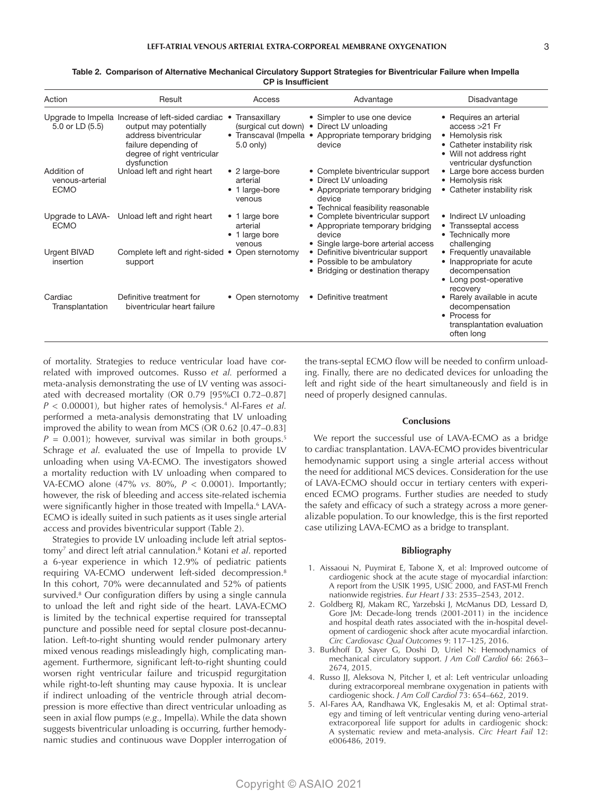| Action                                        | Result                                                                                                                                                                       | Access                                                                         | Advantage                                                                                                                                     | Disadvantage                                                                                                                                         |
|-----------------------------------------------|------------------------------------------------------------------------------------------------------------------------------------------------------------------------------|--------------------------------------------------------------------------------|-----------------------------------------------------------------------------------------------------------------------------------------------|------------------------------------------------------------------------------------------------------------------------------------------------------|
| 5.0 or LD (5.5)                               | Upgrade to Impella Increase of left-sided cardiac .<br>output may potentially<br>address biventricular<br>failure depending of<br>degree of right ventricular<br>dysfunction | Transaxillary<br>(surgical cut down)<br>• Transcaval (Impella •<br>$5.0$ only) | • Simpler to use one device<br>Direct LV unloading<br>$\bullet$<br>Appropriate temporary bridging<br>device                                   | • Requires an arterial<br>$access > 21$ Fr<br>• Hemolysis risk<br>• Catheter instability risk<br>• Will not address right<br>ventricular dysfunction |
| Addition of<br>venous-arterial<br><b>ECMO</b> | Unload left and right heart                                                                                                                                                  | • 2 large-bore<br>arterial<br>• 1 large-bore<br>venous                         | • Complete biventricular support<br>• Direct LV unloading<br>• Appropriate temporary bridging<br>device<br>• Technical feasibility reasonable | • Large bore access burden<br>• Hemolysis risk<br>• Catheter instability risk                                                                        |
| <b>ECMO</b>                                   | Upgrade to LAVA- Unload left and right heart                                                                                                                                 | • 1 large bore<br>arterial<br>• 1 large bore<br>venous                         | • Complete biventricular support<br>• Appropriate temporary bridging<br>device<br>• Single large-bore arterial access                         | • Indirect LV unloading<br>• Transseptal access<br>• Technically more<br>challenging                                                                 |
| <b>Urgent BIVAD</b><br>insertion              | Complete left and right-sided •<br>support                                                                                                                                   | Open sternotomy                                                                | • Definitive biventricular support<br>• Possible to be ambulatory<br>• Bridging or destination therapy                                        | • Frequently unavailable<br>• Inappropriate for acute<br>decompensation<br>• Long post-operative<br>recovery                                         |
| Cardiac<br>Transplantation                    | Definitive treatment for<br>biventricular heart failure                                                                                                                      | • Open sternotomy                                                              | • Definitive treatment                                                                                                                        | • Rarely available in acute<br>decompensation<br>• Process for<br>transplantation evaluation<br>often long                                           |

#### Table 2. Comparison of Alternative Mechanical Circulatory Support Strategies for Biventricular Failure when Impella CP is Insufficient

of mortality. Strategies to reduce ventricular load have correlated with improved outcomes. Russo *et al.* performed a meta-analysis demonstrating the use of LV venting was associated with decreased mortality (OR 0.79 [95%CI 0.72–0.87] *P* < 0.00001), but higher rates of hemolysis.4 Al-Fares *et al.* performed a meta-analysis demonstrating that LV unloading improved the ability to wean from MCS (OR 0.62 [0.47–0.83]  $P = 0.001$ ; however, survival was similar in both groups.<sup>5</sup> Schrage *et al*. evaluated the use of Impella to provide LV unloading when using VA-ECMO. The investigators showed a mortality reduction with LV unloading when compared to VA-ECMO alone (47% *vs.* 80%, *P* < 0.0001). Importantly; however, the risk of bleeding and access site-related ischemia were significantly higher in those treated with Impella.<sup>6</sup> LAVA-ECMO is ideally suited in such patients as it uses single arterial access and provides biventricular support (Table 2).

Strategies to provide LV unloading include left atrial septostomy7 and direct left atrial cannulation.8 Kotani *et al*. reported a 6-year experience in which 12.9% of pediatric patients requiring VA-ECMO underwent left-sided decompression.8 In this cohort, 70% were decannulated and 52% of patients survived.<sup>8</sup> Our configuration differs by using a single cannula to unload the left and right side of the heart. LAVA-ECMO is limited by the technical expertise required for transseptal puncture and possible need for septal closure post-decannulation. Left-to-right shunting would render pulmonary artery mixed venous readings misleadingly high, complicating management. Furthermore, significant left-to-right shunting could worsen right ventricular failure and tricuspid regurgitation while right-to-left shunting may cause hypoxia. It is unclear if indirect unloading of the ventricle through atrial decompression is more effective than direct ventricular unloading as seen in axial flow pumps (*e.g.,* Impella). While the data shown suggests biventricular unloading is occurring, further hemodynamic studies and continuous wave Doppler interrogation of

the trans-septal ECMO flow will be needed to confirm unloading. Finally, there are no dedicated devices for unloading the left and right side of the heart simultaneously and field is in need of properly designed cannulas.

#### **Conclusions**

We report the successful use of LAVA-ECMO as a bridge to cardiac transplantation. LAVA-ECMO provides biventricular hemodynamic support using a single arterial access without the need for additional MCS devices. Consideration for the use of LAVA-ECMO should occur in tertiary centers with experienced ECMO programs. Further studies are needed to study the safety and efficacy of such a strategy across a more generalizable population. To our knowledge, this is the first reported case utilizing LAVA-ECMO as a bridge to transplant.

#### **Bibliography**

- 1. Aissaoui N, Puymirat E, Tabone X, et al: Improved outcome of cardiogenic shock at the acute stage of myocardial infarction: A report from the USIK 1995, USIC 2000, and FAST-MI French nationwide registries. *Eur Heart J* 33: 2535–2543, 2012.
- 2. Goldberg RJ, Makam RC, Yarzebski J, McManus DD, Lessard D, Gore JM: Decade-long trends (2001-2011) in the incidence and hospital death rates associated with the in-hospital development of cardiogenic shock after acute myocardial infarction. *Circ Cardiovasc Qual Outcomes* 9: 117–125, 2016.
- 3. Burkhoff D, Sayer G, Doshi D, Uriel N: Hemodynamics of mechanical circulatory support. *J Am Coll Cardiol* 66: 2663– 2674, 2015.
- 4. Russo JJ, Aleksova N, Pitcher I, et al: Left ventricular unloading during extracorporeal membrane oxygenation in patients with cardiogenic shock. *J Am Coll Cardiol* 73: 654–662, 2019.
- 5. Al-Fares AA, Randhawa VK, Englesakis M, et al: Optimal strategy and timing of left ventricular venting during veno-arterial extracorporeal life support for adults in cardiogenic shock: A systematic review and meta-analysis. *Circ Heart Fail* 12: e006486, 2019.